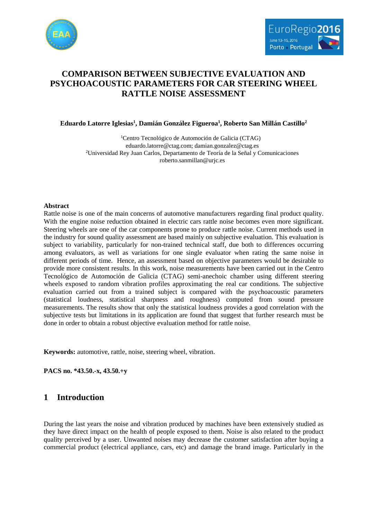

# **COMPARISON BETWEEN SUBJECTIVE EVALUATION AND PSYCHOACOUSTIC PARAMETERS FOR CAR STEERING WHEEL RATTLE NOISE ASSESSMENT**

**Eduardo Latorre Iglesias<sup>1</sup> , Damián González Figueroa<sup>1</sup> , Roberto San Millán Castillo<sup>2</sup>**

<sup>1</sup>Centro Tecnológico de Automoción de Galicia (CTAG) eduardo.latorre@ctag.com; damian.gonzalez@ctag.es <sup>2</sup>Universidad Rey Juan Carlos, Departamento de Teoría de la Señal y Comunicaciones roberto.sanmillan@urjc.es

### **Abstract**

Rattle noise is one of the main concerns of automotive manufacturers regarding final product quality. With the engine noise reduction obtained in electric cars rattle noise becomes even more significant. Steering wheels are one of the car components prone to produce rattle noise. Current methods used in the industry for sound quality assessment are based mainly on subjective evaluation. This evaluation is subject to variability, particularly for non-trained technical staff, due both to differences occurring among evaluators, as well as variations for one single evaluator when rating the same noise in different periods of time. Hence, an assessment based on objective parameters would be desirable to provide more consistent results. In this work, noise measurements have been carried out in the Centro Tecnológico de Automoción de Galicia (CTAG) semi-anechoic chamber using different steering wheels exposed to random vibration profiles approximating the real car conditions. The subjective evaluation carried out from a trained subject is compared with the psychoacoustic parameters (statistical loudness, statistical sharpness and roughness) computed from sound pressure measurements. The results show that only the statistical loudness provides a good correlation with the subjective tests but limitations in its application are found that suggest that further research must be done in order to obtain a robust objective evaluation method for rattle noise.

**Keywords:** automotive, rattle, noise, steering wheel, vibration.

**PACS no. \*43.50.-x, 43.50.+y** 

## **1 Introduction**

During the last years the noise and vibration produced by machines have been extensively studied as they have direct impact on the health of people exposed to them. Noise is also related to the product quality perceived by a user. Unwanted noises may decrease the customer satisfaction after buying a commercial product (electrical appliance, cars, etc) and damage the brand image. Particularly in the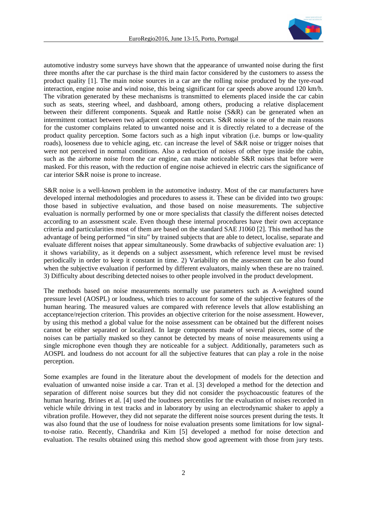

automotive industry some surveys have shown that the appearance of unwanted noise during the first three months after the car purchase is the third main factor considered by the customers to assess the product quality [1]. The main noise sources in a car are the rolling noise produced by the tyre-road interaction, engine noise and wind noise, this being significant for car speeds above around 120 km/h. The vibration generated by these mechanisms is transmitted to elements placed inside the car cabin such as seats, steering wheel, and dashboard, among others, producing a relative displacement between their different components. Squeak and Rattle noise (S&R) can be generated when an intermittent contact between two adjacent components occurs. S&R noise is one of the main reasons for the customer complains related to unwanted noise and it is directly related to a decrease of the product quality perception. Some factors such as a high input vibration (i.e. bumps or low-quality roads), looseness due to vehicle aging, etc. can increase the level of S&R noise or trigger noises that were not perceived in normal conditions. Also a reduction of noises of other type inside the cabin, such as the airborne noise from the car engine, can make noticeable S&R noises that before were masked. For this reason, with the reduction of engine noise achieved in electric cars the significance of car interior S&R noise is prone to increase.

S&R noise is a well-known problem in the automotive industry. Most of the car manufacturers have developed internal methodologies and procedures to assess it. These can be divided into two groups: those based in subjective evaluation, and those based on noise measurements. The subjective evaluation is normally performed by one or more specialists that classify the different noises detected according to an assessment scale. Even though these internal procedures have their own acceptance criteria and particularities most of them are based on the standard SAE J1060 [2]. This method has the advantage of being performed "in situ" by trained subjects that are able to detect, localise, separate and evaluate different noises that appear simultaneously. Some drawbacks of subjective evaluation are: 1) it shows variability, as it depends on a subject assessment, which reference level must be revised periodically in order to keep it constant in time. 2) Variability on the assessment can be also found when the subjective evaluation if performed by different evaluators, mainly when these are no trained. 3) Difficulty about describing detected noises to other people involved in the product development.

The methods based on noise measurements normally use parameters such as A-weighted sound pressure level (AOSPL) or loudness, which tries to account for some of the subjective features of the human hearing. The measured values are compared with reference levels that allow establishing an acceptance/rejection criterion. This provides an objective criterion for the noise assessment. However, by using this method a global value for the noise assessment can be obtained but the different noises cannot be either separated or localized. In large components made of several pieces, some of the noises can be partially masked so they cannot be detected by means of noise measurements using a single microphone even though they are noticeable for a subject. Additionally, parameters such as AOSPL and loudness do not account for all the subjective features that can play a role in the noise perception.

Some examples are found in the literature about the development of models for the detection and evaluation of unwanted noise inside a car. Tran et al. [3] developed a method for the detection and separation of different noise sources but they did not consider the psychoacoustic features of the human hearing. Brines et al. [4] used the loudness percentiles for the evaluation of noises recorded in vehicle while driving in test tracks and in laboratory by using an electrodynamic shaker to apply a vibration profile. However, they did not separate the different noise sources present during the tests. It was also found that the use of loudness for noise evaluation presents some limitations for low signalto-noise ratio. Recently, Chandrika and Kim [5] developed a method for noise detection and evaluation. The results obtained using this method show good agreement with those from jury tests.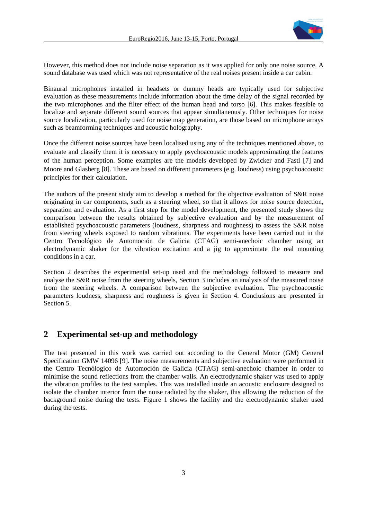

However, this method does not include noise separation as it was applied for only one noise source. A sound database was used which was not representative of the real noises present inside a car cabin.

Binaural microphones installed in headsets or dummy heads are typically used for subjective evaluation as these measurements include information about the time delay of the signal recorded by the two microphones and the filter effect of the human head and torso [6]. This makes feasible to localize and separate different sound sources that appear simultaneously. Other techniques for noise source localization, particularly used for noise map generation, are those based on microphone arrays such as beamforming techniques and acoustic holography.

Once the different noise sources have been localised using any of the techniques mentioned above, to evaluate and classify them it is necessary to apply psychoacoustic models approximating the features of the human perception. Some examples are the models developed by Zwicker and Fastl [7] and Moore and Glasberg [8]. These are based on different parameters (e.g. loudness) using psychoacoustic principles for their calculation.

The authors of the present study aim to develop a method for the objective evaluation of S&R noise originating in car components, such as a steering wheel, so that it allows for noise source detection, separation and evaluation. As a first step for the model development, the presented study shows the comparison between the results obtained by subjective evaluation and by the measurement of established psychoacoustic parameters (loudness, sharpness and roughness) to assess the S&R noise from steering wheels exposed to random vibrations. The experiments have been carried out in the Centro Tecnológico de Automoción de Galicia (CTAG) semi-anechoic chamber using an electrodynamic shaker for the vibration excitation and a jig to approximate the real mounting conditions in a car.

Section 2 describes the experimental set-up used and the methodology followed to measure and analyse the S&R noise from the steering wheels, Section 3 includes an analysis of the measured noise from the steering wheels. A comparison between the subjective evaluation. The psychoacoustic parameters loudness, sharpness and roughness is given in Section 4. Conclusions are presented in Section 5.

## **2 Experimental set-up and methodology**

The test presented in this work was carried out according to the General Motor (GM) General Specification GMW 14096 [9]. The noise measurements and subjective evaluation were performed in the Centro Tecnólogico de Automoción de Galicia (CTAG) semi-anechoic chamber in order to minimise the sound reflections from the chamber walls. An electrodynamic shaker was used to apply the vibration profiles to the test samples. This was installed inside an acoustic enclosure designed to isolate the chamber interior from the noise radiated by the shaker, this allowing the reduction of the background noise during the tests. Figure 1 shows the facility and the electrodynamic shaker used during the tests.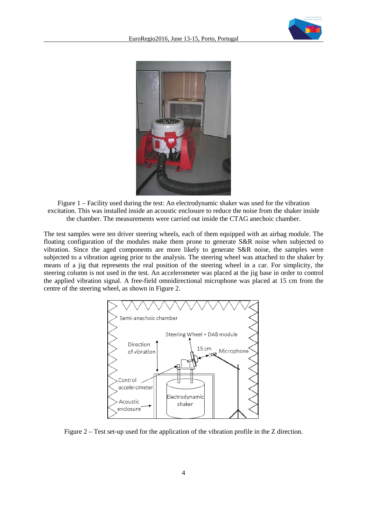



Figure 1 – Facility used during the test: An electrodynamic shaker was used for the vibration excitation. This was installed inside an acoustic enclosure to reduce the noise from the shaker inside the chamber. The measurements were carried out inside the CTAG anechoic chamber.

The test samples were ten driver steering wheels, each of them equipped with an airbag module. The floating configuration of the modules make them prone to generate S&R noise when subjected to vibration. Since the aged components are more likely to generate S&R noise, the samples were subjected to a vibration ageing prior to the analysis. The steering wheel was attached to the shaker by means of a jig that represents the real position of the steering wheel in a car. For simplicity, the steering column is not used in the test. An accelerometer was placed at the jig base in order to control the applied vibration signal. A free-field omnidirectional microphone was placed at 15 cm from the centre of the steering wheel, as shown in Figure 2.



Figure 2 – Test set-up used for the application of the vibration profile in the Z direction.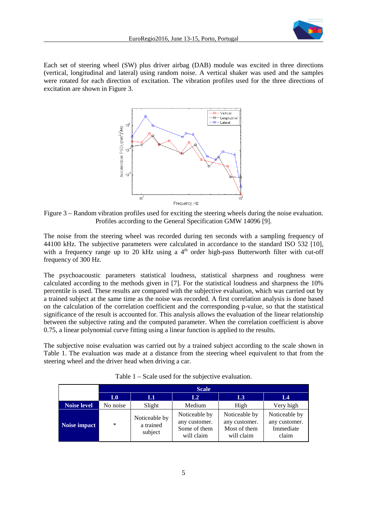

Each set of steering wheel (SW) plus driver airbag (DAB) module was excited in three directions (vertical, longitudinal and lateral) using random noise. A vertical shaker was used and the samples were rotated for each direction of excitation. The vibration profiles used for the three directions of excitation are shown in Figure 3.



Figure 3 – Random vibration profiles used for exciting the steering wheels during the noise evaluation. Profiles according to the General Specification GMW 14096 [9].

The noise from the steering wheel was recorded during ten seconds with a sampling frequency of 44100 kHz. The subjective parameters were calculated in accordance to the standard ISO 532 [10], with a frequency range up to 20 kHz using a 4<sup>th</sup> order high-pass Butterworth filter with cut-off frequency of 300 Hz.

The psychoacoustic parameters statistical loudness, statistical sharpness and roughness were calculated according to the methods given in [7]. For the statistical loudness and sharpness the 10% percentile is used. These results are compared with the subjective evaluation, which was carried out by a trained subject at the same time as the noise was recorded. A first correlation analysis is done based on the calculation of the correlation coefficient and the corresponding p-value, so that the statistical significance of the result is accounted for. This analysis allows the evaluation of the linear relationship between the subjective rating and the computed parameter. When the correlation coefficient is above 0.75, a linear polynomial curve fitting using a linear function is applied to the results.

The subjective noise evaluation was carried out by a trained subject according to the scale shown in Table 1. The evaluation was made at a distance from the steering wheel equivalent to that from the steering wheel and the driver head when driving a car.

|                    | <b>Scale</b>   |                                       |                                                              |                                                              |                                                      |  |  |
|--------------------|----------------|---------------------------------------|--------------------------------------------------------------|--------------------------------------------------------------|------------------------------------------------------|--|--|
|                    | L <sub>0</sub> | L1                                    | L2                                                           | L3                                                           | L <sub>4</sub>                                       |  |  |
| <b>Noise level</b> | No noise       | Slight                                | Medium                                                       | High                                                         | Very high                                            |  |  |
| Noise impact       | $\ast$         | Noticeable by<br>a trained<br>subject | Noticeable by<br>any customer.<br>Some of them<br>will claim | Noticeable by<br>any customer.<br>Most of them<br>will claim | Noticeable by<br>any customer.<br>Immediate<br>claim |  |  |

Table 1 – Scale used for the subjective evaluation.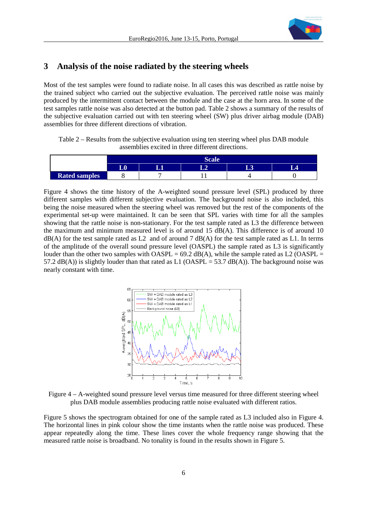

## **3 Analysis of the noise radiated by the steering wheels**

Most of the test samples were found to radiate noise. In all cases this was described as rattle noise by the trained subject who carried out the subjective evaluation. The perceived rattle noise was mainly produced by the intermittent contact between the module and the case at the horn area. In some of the test samples rattle noise was also detected at the button pad. Table 2 shows a summary of the results of the subjective evaluation carried out with ten steering wheel (SW) plus driver airbag module (DAB) assemblies for three different directions of vibration.

Table 2 – Results from the subjective evaluation using ten steering wheel plus DAB module assemblies excited in three different directions.

|                      | $\sim$    |  |  |  |  |  |  |  |
|----------------------|-----------|--|--|--|--|--|--|--|
|                      | тΛ<br>س ا |  |  |  |  |  |  |  |
| <b>Rated samples</b> |           |  |  |  |  |  |  |  |

Figure 4 shows the time history of the A-weighted sound pressure level (SPL) produced by three different samples with different subjective evaluation. The background noise is also included, this being the noise measured when the steering wheel was removed but the rest of the components of the experimental set-up were maintained. It can be seen that SPL varies with time for all the samples showing that the rattle noise is non-stationary. For the test sample rated as L3 the difference between the maximum and minimum measured level is of around 15  $dB(A)$ . This difference is of around 10 dB(A) for the test sample rated as L2 and of around 7 dB(A) for the test sample rated as L1. In terms of the amplitude of the overall sound pressure level (OASPL) the sample rated as L3 is significantly louder than the other two samples with  $OASPL = 69.2$  dB(A), while the sample rated as L2 (OASPL = 57.2 dB(A)) is slightly louder than that rated as L1 (OASPL = 53.7 dB(A)). The background noise was nearly constant with time.



Figure 4 – A-weighted sound pressure level versus time measured for three different steering wheel plus DAB module assemblies producing rattle noise evaluated with different ratios.

Figure 5 shows the spectrogram obtained for one of the sample rated as L3 included also in Figure 4. The horizontal lines in pink colour show the time instants when the rattle noise was produced. These appear repeatedly along the time. These lines cover the whole frequency range showing that the measured rattle noise is broadband. No tonality is found in the results shown in Figure 5.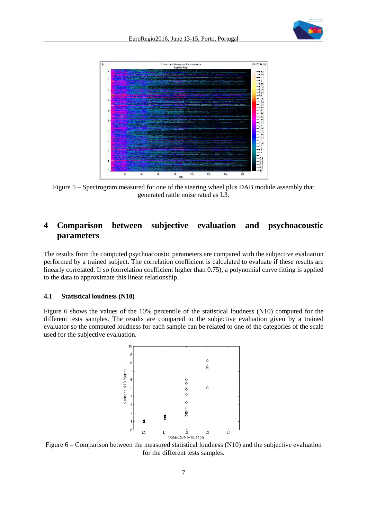



Figure 5 – Spectrogram measured for one of the steering wheel plus DAB module assembly that generated rattle noise rated as L3.

# **4 Comparison between subjective evaluation and psychoacoustic parameters**

The results from the computed psychoacoustic parameters are compared with the subjective evaluation performed by a trained subject. The correlation coefficient is calculated to evaluate if these results are linearly correlated. If so (correlation coefficient higher than 0.75), a polynomial curve fitting is applied to the data to approximate this linear relationship.

#### **4.1 Statistical loudness (N10)**

Figure 6 shows the values of the 10% percentile of the statistical loudness (N10) computed for the different tests samples. The results are compared to the subjective evaluation given by a trained evaluator so the computed loudness for each sample can be related to one of the categories of the scale used for the subjective evaluation.



Figure 6 – Comparison between the measured statistical loudness (N10) and the subjective evaluation for the different tests samples.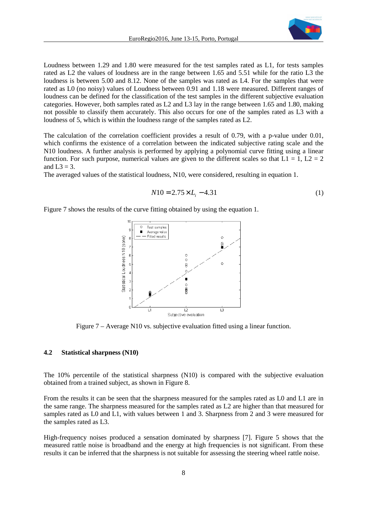

Loudness between 1.29 and 1.80 were measured for the test samples rated as L1, for tests samples rated as L2 the values of loudness are in the range between 1.65 and 5.51 while for the ratio L3 the loudness is between 5.00 and 8.12. None of the samples was rated as L4. For the samples that were rated as L0 (no noisy) values of Loudness between 0.91 and 1.18 were measured. Different ranges of loudness can be defined for the classification of the test samples in the different subjective evaluation categories. However, both samples rated as L2 and L3 lay in the range between 1.65 and 1.80, making not possible to classify them accurately. This also occurs for one of the samples rated as L3 with a loudness of 5, which is within the loudness range of the samples rated as L2.

The calculation of the correlation coefficient provides a result of 0.79, with a p-value under 0.01, which confirms the existence of a correlation between the indicated subjective rating scale and the N10 loudness. A further analysis is performed by applying a polynomial curve fitting using a linear function. For such purpose, numerical values are given to the different scales so that  $L1 = 1$ ,  $L2 = 2$ and  $L3 = 3$ .

The averaged values of the statistical loudness, N10, were considered, resulting in equation 1.

$$
N10 = 2.75 \times L_i - 4.31\tag{1}
$$

Figure 7 shows the results of the curve fitting obtained by using the equation 1.



Figure 7 – Average N10 vs. subjective evaluation fitted using a linear function.

#### **4.2 Statistical sharpness (N10)**

The 10% percentile of the statistical sharpness (N10) is compared with the subjective evaluation obtained from a trained subject, as shown in Figure 8.

From the results it can be seen that the sharpness measured for the samples rated as L0 and L1 are in the same range. The sharpness measured for the samples rated as L2 are higher than that measured for samples rated as L0 and L1, with values between 1 and 3. Sharpness from 2 and 3 were measured for the samples rated as L3.

High-frequency noises produced a sensation dominated by sharpness [7]. Figure 5 shows that the measured rattle noise is broadband and the energy at high frequencies is not significant. From these results it can be inferred that the sharpness is not suitable for assessing the steering wheel rattle noise.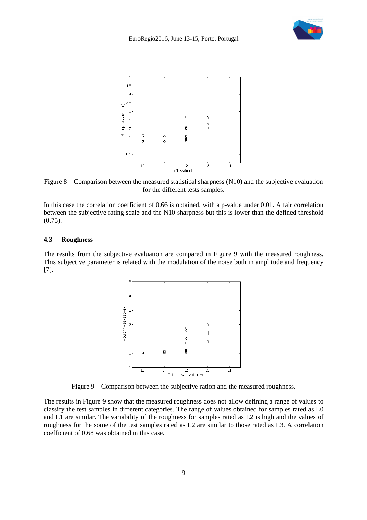



Figure 8 – Comparison between the measured statistical sharpness (N10) and the subjective evaluation for the different tests samples.

In this case the correlation coefficient of 0.66 is obtained, with a p-value under 0.01. A fair correlation between the subjective rating scale and the N10 sharpness but this is lower than the defined threshold (0.75).

#### **4.3 Roughness**

The results from the subjective evaluation are compared in Figure 9 with the measured roughness. This subjective parameter is related with the modulation of the noise both in amplitude and frequency [7].



Figure 9 – Comparison between the subjective ration and the measured roughness.

The results in Figure 9 show that the measured roughness does not allow defining a range of values to classify the test samples in different categories. The range of values obtained for samples rated as L0 and L1 are similar. The variability of the roughness for samples rated as L2 is high and the values of roughness for the some of the test samples rated as L2 are similar to those rated as L3. A correlation coefficient of 0.68 was obtained in this case.